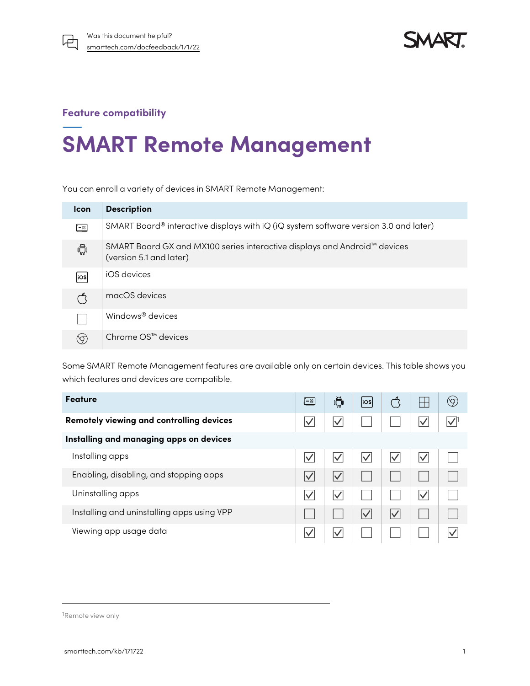

**SMART** 

## **Feature compatibility**

# **SMART Remote Management**

You can enroll a variety of devices in SMART Remote Management:

| <b>Icon</b> | <b>Description</b>                                                                                   |
|-------------|------------------------------------------------------------------------------------------------------|
| $= 88$      | SMART Board <sup>®</sup> interactive displays with iQ (iQ system software version 3.0 and later)     |
| Ĥ,          | SMART Board GX and MX100 series interactive displays and Android™ devices<br>(version 5.1 and later) |
| liosl       | iOS devices                                                                                          |
|             | macOS devices                                                                                        |
| $\Box$      | Windows <sup>®</sup> devices                                                                         |
|             | Chrome OS™ devices                                                                                   |

Some SMART Remote Management features are available only on certain devices. This table shows you which features and devices are compatible.

| Feature                                    |              | ⊮∰                  | ios                  |              |                      | (9) |
|--------------------------------------------|--------------|---------------------|----------------------|--------------|----------------------|-----|
| Remotely viewing and controlling devices   |              | $\vee$              |                      |              |                      |     |
| Installing and managing apps on devices    |              |                     |                      |              |                      |     |
| Installing apps                            |              |                     |                      | $\checkmark$ | $\blacktriangledown$ |     |
| Enabling, disabling, and stopping apps     | $\bm{\vee}$  | $\vert \surd$       |                      |              |                      |     |
| Uninstalling apps                          | $\checkmark$ | $\boldsymbol{\vee}$ |                      |              | $\vee$               |     |
| Installing and uninstalling apps using VPP |              |                     | $\blacktriangledown$ | $\checkmark$ |                      |     |
| Viewing app usage data                     |              | $\boldsymbol{\vee}$ |                      |              |                      |     |

1Remote view only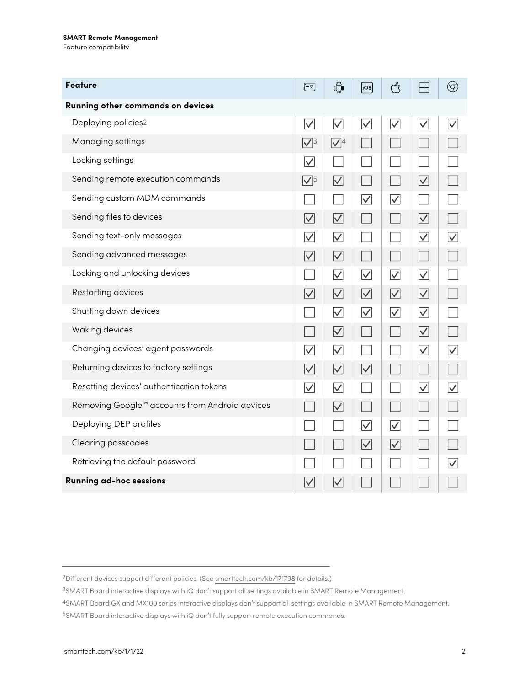### **SMART Remote Management**

Feature compatibility

| <b>Feature</b>                                             |                      | Ŵ,                | $\vert$ ios $\vert$  |                         | $\vdash$             | $\circledcirc$          |
|------------------------------------------------------------|----------------------|-------------------|----------------------|-------------------------|----------------------|-------------------------|
| Running other commands on devices                          |                      |                   |                      |                         |                      |                         |
| Deploying policies2                                        | $\overline{\vee}$    | $\overline{\vee}$ | $\overline{\vee}$    | $\overline{\checkmark}$ | $\overline{\vee}$    | $\overline{\checkmark}$ |
| Managing settings                                          | $\sqrt{3}$           | $\sqrt{4}$        |                      |                         |                      |                         |
| Locking settings                                           | $\blacktriangledown$ |                   |                      |                         |                      |                         |
| Sending remote execution commands                          | $\sqrt{5}$           | $\overline{\vee}$ |                      |                         | $\overline{\vee}$    |                         |
| Sending custom MDM commands                                |                      |                   | $\overline{\vee}$    | $\overline{\vee}$       |                      |                         |
| Sending files to devices                                   | $\overline{\vee}$    | $\overline{\vee}$ |                      |                         | $\overline{\vee}$    |                         |
| Sending text-only messages                                 | $\vert\!\vee\!\vert$ | $\overline{\vee}$ |                      |                         | $\vert\!\vee\!\vert$ |                         |
| Sending advanced messages                                  | $\overline{\vee}$    | $\overline{\vee}$ |                      |                         |                      |                         |
| Locking and unlocking devices                              |                      | $\overline{\vee}$ | $\overline{\vee}$    | $\overline{\vee}$       | $\vert \surd \vert$  |                         |
| Restarting devices                                         | $\overline{\vee}$    | $\overline{\vee}$ | $\overline{\vee}$    | $\overline{\vee}$       | $\overline{\vee}$    |                         |
| Shutting down devices                                      |                      | $\overline{\vee}$ | $\overline{\vee}$    | $\overline{\vee}$       | $\overline{\vee}$    |                         |
| Waking devices                                             | $\mathbb{R}^2$       | $\overline{\vee}$ |                      |                         | $\overline{\vee}$    |                         |
| Changing devices' agent passwords                          | $\blacktriangledown$ | $\overline{\vee}$ |                      |                         | $\blacktriangledown$ | $\overline{\vee}$       |
| Returning devices to factory settings                      | $\overline{\vee}$    | $\overline{\vee}$ | $\overline{\vee}$    |                         |                      |                         |
| Resetting devices' authentication tokens                   | $\overline{\vee}$    | $\overline{\vee}$ |                      |                         | $\overline{\vee}$    | $\overline{\vee}$       |
| Removing Google <sup>™</sup> accounts from Android devices |                      | $\overline{\vee}$ |                      |                         |                      |                         |
| Deploying DEP profiles                                     |                      |                   | $\blacktriangledown$ | $\overline{\vee}$       |                      |                         |
| Clearing passcodes                                         |                      |                   | $\overline{\vee}$    | $\blacktriangledown$    |                      |                         |
| Retrieving the default password                            |                      |                   |                      |                         |                      |                         |
| <b>Running ad-hoc sessions</b>                             |                      | $\overline{\vee}$ |                      |                         |                      |                         |

2Different devices support different policies. (See [smarttech.com/kb/171798](https://www.smarttech.com/en/kb/171798) for details.)

3SMART Board interactive displays with iQ don't support all settings available in SMART Remote Management.

4SMART Board GX and MX100 series interactive displays don't support all settings available in SMART Remote Management.

5SMART Board interactive displays with iQ don't fully support remote execution commands.